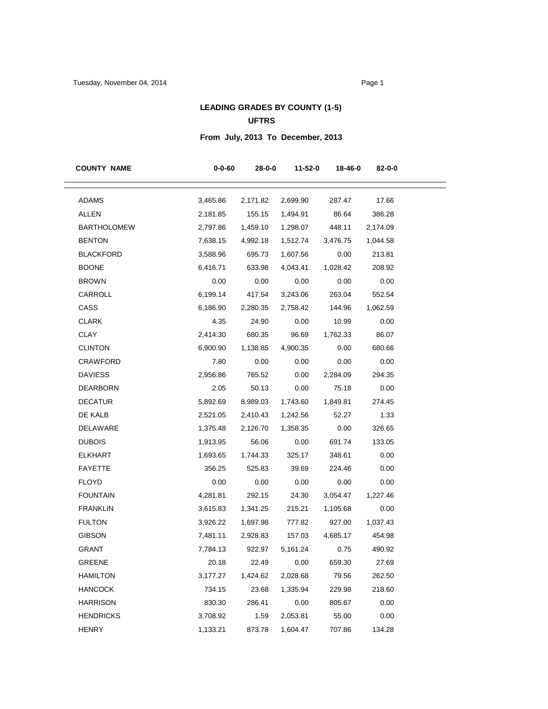## **LEADING GRADES BY COUNTY (1-5) UFTRS**

# **From July, 2013 To December, 2013**

| <b>COUNTY NAME</b> | $0 - 0 - 60$ | 28-0-0     | 11-52-0  | 18-46-0  | 82-0-0   |
|--------------------|--------------|------------|----------|----------|----------|
| <b>ADAMS</b>       | 3,465.86     | 2,171.82   | 2,699.90 | 287.47   | 17.66    |
| <b>ALLEN</b>       | 2,181.85     | 155.15     | 1,494.91 | 86.64    | 386.28   |
| <b>BARTHOLOMEW</b> | 2,797.86     | 1,459.10   | 1,298.07 | 448.11   | 2,174.09 |
| <b>BENTON</b>      | 7,638.15     | 4,992.18   | 1,512.74 | 3,476.75 | 1,044.58 |
| BLACKFORD          | 3,588.96     | 695.73     | 1,607.56 | 0.00     | 213.81   |
| <b>BOONE</b>       | 6,416.71     | 633.98     | 4,043.41 | 1,028.42 | 208.92   |
| <b>BROWN</b>       | 0.00         | 0.00       | 0.00     | 0.00     | 0.00     |
| CARROLL            | 6,199.14     | 417.54     | 3,243.06 | 263.04   | 552.54   |
| CASS               | 6,186.90     | 2,280.35   | 2,758.42 | 144.96   | 1,062.59 |
| <b>CLARK</b>       | 4.35         | 24.90      | 0.00     | 10.99    | 0.00     |
| CLAY               | 2,414.30     | 680.35     | 96.69    | 1,762.33 | 86.07    |
| <b>CLINTON</b>     | 6,900.90     | 1,138.85   | 4,900.35 | 0.00     | 680.66   |
| CRAWFORD           | 7.80         | 0.00       | 0.00     | 0.00     | 0.00     |
| <b>DAVIESS</b>     | 2,956.86     | 765.52     | 0.00     | 2,284.09 | 294.35   |
| DEARBORN           | 2.05         | 50.13      | 0.00     | 75.18    | 0.00     |
| <b>DECATUR</b>     | 5,892.69     | 8,989.03   | 1,743.60 | 1,849.81 | 274.45   |
| DE KALB            | 2,521.05     | 2,410.43   | 1,242.56 | 52.27    | 1.33     |
| DELAWARE           | 1,375.48     | 2,126.70   | 1,358.35 | 0.00     | 326.65   |
| <b>DUBOIS</b>      | 1,913.95     | 56.06      | 0.00     | 691.74   | 133.05   |
| <b>ELKHART</b>     | 1,693.65     | 1,744.33   | 325.17   | 348.61   | 0.00     |
| <b>FAYETTE</b>     | 356.25       | 525.83     | 39.69    | 224.46   | 0.00     |
| <b>FLOYD</b>       | 0.00         | 0.00       | 0.00     | 0.00     | 0.00     |
| <b>FOUNTAIN</b>    | 4,281.81     | 292.15     | 24.30    | 3,054.47 | 1,227.46 |
| <b>FRANKLIN</b>    | 3,615.83     | 1,341.25   | 215.21   | 1,105.68 | 0.00     |
| <b>FULTON</b>      | 3,926.22     | 1,697.98   | 777.82   | 927.00   | 1,037.43 |
| <b>GIBSON</b>      | 7,481.11     | 2,928.83   | 157.03   | 4,685.17 | 454.98   |
| <b>GRANT</b>       | 7,784.13     | 922.97     | 5,161.24 | 0.75     | 490.92   |
| GREENE             | 20.18        | 22.49 0.00 |          | 659.30   | 27.69    |
| <b>HAMILTON</b>    | 3,177.27     | 1,424.62   | 2,028.68 | 79.56    | 262.50   |
| <b>HANCOCK</b>     | 734.15       | 23.68      | 1,335.94 | 229.98   | 218.60   |
| <b>HARRISON</b>    | 830.30       | 286.41     | 0.00     | 805.67   | 0.00     |
| <b>HENDRICKS</b>   | 3,708.92     | 1.59       | 2,053.81 | 55.00    | 0.00     |
| <b>HENRY</b>       | 1,133.21     | 873.78     | 1,604.47 | 707.86   | 134.28   |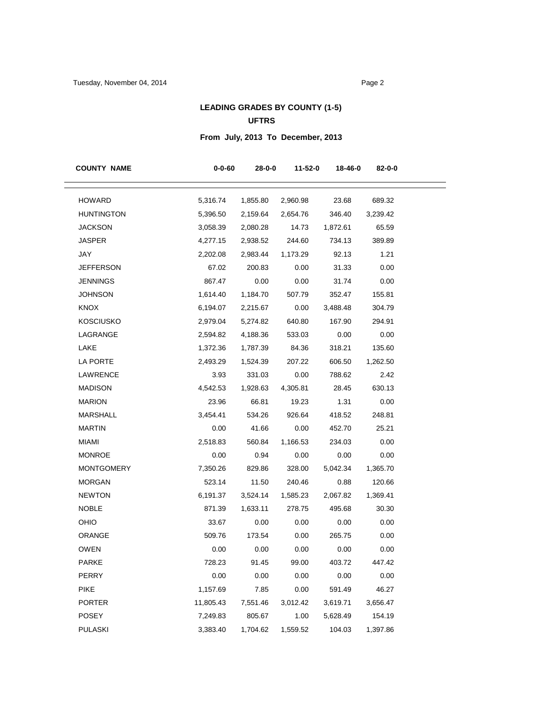## **LEADING GRADES BY COUNTY (1-5) UFTRS**

# **From July, 2013 To December, 2013**

| <b>COUNTY NAME</b> | 0-0-60    | $28 - 0 - 0$ | $11 - 52 - 0$ | 18-46-0  | 82-0-0   |
|--------------------|-----------|--------------|---------------|----------|----------|
| <b>HOWARD</b>      | 5,316.74  | 1,855.80     | 2,960.98      | 23.68    | 689.32   |
| <b>HUNTINGTON</b>  | 5,396.50  | 2,159.64     | 2,654.76      | 346.40   | 3,239.42 |
| <b>JACKSON</b>     | 3,058.39  | 2,080.28     | 14.73         | 1,872.61 | 65.59    |
| <b>JASPER</b>      | 4,277.15  | 2,938.52     | 244.60        | 734.13   | 389.89   |
| JAY                | 2,202.08  | 2,983.44     | 1,173.29      | 92.13    | 1.21     |
| <b>JEFFERSON</b>   | 67.02     | 200.83       | 0.00          | 31.33    | 0.00     |
| <b>JENNINGS</b>    | 867.47    | 0.00         | 0.00          | 31.74    | 0.00     |
| <b>JOHNSON</b>     | 1,614.40  | 1,184.70     | 507.79        | 352.47   | 155.81   |
| <b>KNOX</b>        | 6,194.07  | 2,215.67     | 0.00          | 3,488.48 | 304.79   |
| <b>KOSCIUSKO</b>   | 2,979.04  | 5,274.82     | 640.80        | 167.90   | 294.91   |
| LAGRANGE           | 2,594.82  | 4,188.36     | 533.03        | 0.00     | 0.00     |
| LAKE               | 1,372.36  | 1,787.39     | 84.36         | 318.21   | 135.60   |
| LA PORTE           | 2,493.29  | 1,524.39     | 207.22        | 606.50   | 1,262.50 |
| LAWRENCE           | 3.93      | 331.03       | 0.00          | 788.62   | 2.42     |
| <b>MADISON</b>     | 4,542.53  | 1,928.63     | 4,305.81      | 28.45    | 630.13   |
| <b>MARION</b>      | 23.96     | 66.81        | 19.23         | 1.31     | 0.00     |
| <b>MARSHALL</b>    | 3,454.41  | 534.26       | 926.64        | 418.52   | 248.81   |
| <b>MARTIN</b>      | 0.00      | 41.66        | 0.00          | 452.70   | 25.21    |
| <b>MIAMI</b>       | 2,518.83  | 560.84       | 1,166.53      | 234.03   | 0.00     |
| <b>MONROE</b>      | 0.00      | 0.94         | 0.00          | 0.00     | 0.00     |
| <b>MONTGOMERY</b>  | 7,350.26  | 829.86       | 328.00        | 5,042.34 | 1,365.70 |
| <b>MORGAN</b>      | 523.14    | 11.50        | 240.46        | 0.88     | 120.66   |
| <b>NEWTON</b>      | 6,191.37  | 3,524.14     | 1,585.23      | 2,067.82 | 1,369.41 |
| <b>NOBLE</b>       | 871.39    | 1,633.11     | 278.75        | 495.68   | 30.30    |
| OHIO               | 33.67     | 0.00         | 0.00          | 0.00     | 0.00     |
| ORANGE             | 509.76    | 173.54       | 0.00          | 265.75   | 0.00     |
| <b>OWEN</b>        | 0.00      | 0.00         | 0.00          | 0.00     | 0.00     |
| PARKE              | 728.23    | 91.45        | 99.00         | 403.72   | 447.42   |
| PERRY              | 0.00      | 0.00         | 0.00          | 0.00     | 0.00     |
| <b>PIKE</b>        | 1,157.69  | 7.85         | 0.00          | 591.49   | 46.27    |
| <b>PORTER</b>      | 11,805.43 | 7,551.46     | 3,012.42      | 3,619.71 | 3,656.47 |
| <b>POSEY</b>       | 7,249.83  | 805.67       | 1.00          | 5,628.49 | 154.19   |
| <b>PULASKI</b>     | 3,383.40  | 1,704.62     | 1,559.52      | 104.03   | 1,397.86 |